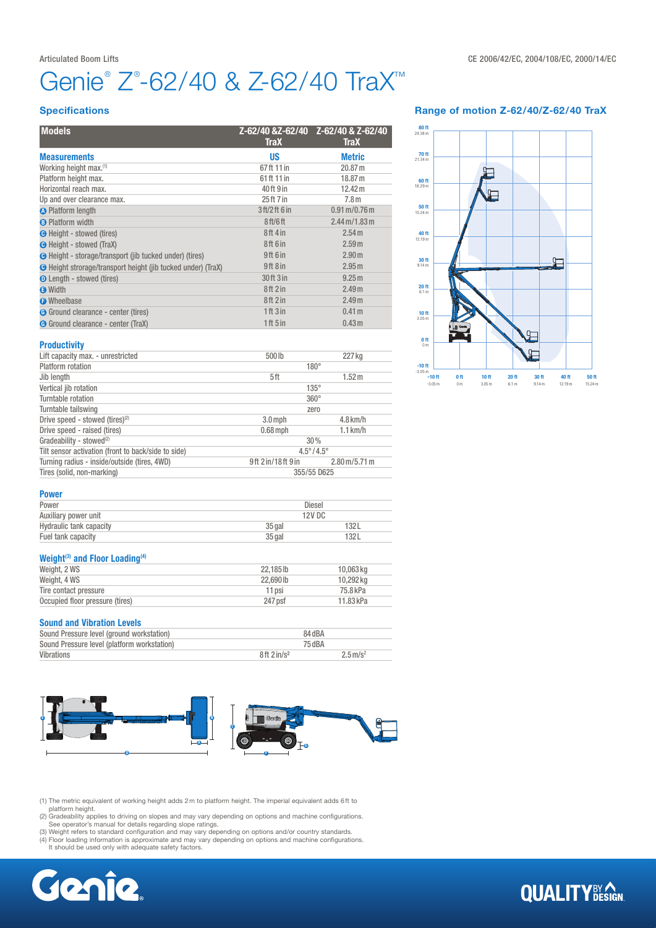# Genie® Z®-62/40 & Z-62/40 TraX™

### **Specifications**

| <b>Models</b>                                                       | Z-62/40 &Z-62/40<br><b>TraX</b>  | Z-62/40 & Z-62/40<br><b>TraX</b>         |  |  |
|---------------------------------------------------------------------|----------------------------------|------------------------------------------|--|--|
| <b>Measurements</b>                                                 | <b>US</b>                        | <b>Metric</b>                            |  |  |
| Working height max.(1)                                              | 67ft 11 in                       | 20.87 m                                  |  |  |
| Platform height max.                                                | 61 ft 11 in                      | 18.87 m                                  |  |  |
| Horizontal reach max.                                               | 40 ft 9 in                       | 12.42 m                                  |  |  |
| Up and over clearance max.                                          | 25 ft 7 in                       | 7.8 <sub>m</sub>                         |  |  |
| <b>O</b> Platform length                                            | 3 ft/2 ft 6 in                   | $0.91 \,\mathrm{m} / 0.76 \,\mathrm{m}$  |  |  |
| <b>B</b> Platform width                                             | 8 <sub>ft</sub> /6 <sub>ft</sub> | $2.44 \,\mathrm{m}$ /1.83 $\,\mathrm{m}$ |  |  |
| <b>G</b> Height - stowed (tires)                                    | 8ft 4 in                         | 2.54 <sub>m</sub>                        |  |  |
| <b>O</b> Height - stowed (TraX)                                     | 8ft 6 in                         | 2.59 <sub>m</sub>                        |  |  |
| <b>O</b> Height - storage/transport (jib tucked under) (tires)      | 9ft 6 in                         | 2.90 <sub>m</sub>                        |  |  |
| <b>C</b> Height strorage/transport height (jib tucked under) (TraX) | 9ft 8 in                         | 2.95 <sub>m</sub>                        |  |  |
| <b>O</b> Length - stowed (tires)                                    | 30 ft 3 in                       | 9.25m                                    |  |  |
| <b>O</b> Width                                                      | 8ft 2 in                         | 2.49 <sub>m</sub>                        |  |  |
| <b>O</b> Wheelbase                                                  | 8ft 2 in                         | 2.49 <sub>m</sub>                        |  |  |
| G Ground clearance - center (tires)                                 | 1 ft 3 in                        | 0.41 <sub>m</sub>                        |  |  |
| G Ground clearance - center (TraX)                                  | 1ft 5in                          | 0.43 <sub>m</sub>                        |  |  |
| <b>Productivity</b>                                                 |                                  |                                          |  |  |
| Lift capacity max. - unrestricted                                   | 500lb                            | 227 kg                                   |  |  |
| <b>Platform</b> rotation                                            |                                  | $180^\circ$                              |  |  |
| Jib length                                                          | 5ft                              | 1.52 <sub>m</sub>                        |  |  |
| Vertical jib rotation                                               |                                  | $135^\circ$                              |  |  |
| Turntable rotation                                                  | $360^\circ$                      |                                          |  |  |
| Turntable tailswing                                                 | zero                             |                                          |  |  |
| Drive speed - stowed (tires) <sup>(2)</sup>                         | $3.0$ mph                        | $4.8$ km/h                               |  |  |
| Drive speed - raised (tires)                                        | $0.68$ mph                       | $1.1$ km/h                               |  |  |
| Gradeability - stowed <sup>(2)</sup>                                | 30%                              |                                          |  |  |
| Tilt sensor activation (front to back/side to side)                 |                                  | $4.5^{\circ}/4.5^{\circ}$                |  |  |
| Turning radius - inside/outside (tires, 4WD)                        | 9ft 2 in/18ft 9 in               | $2.80 \,\mathrm{m}/5.71 \,\mathrm{m}$    |  |  |
| Tires (solid, non-marking)                                          | 355/55 D625                      |                                          |  |  |

### Range of motion Z-62/40/Z-62/40 TraX



#### Power

| Power                   | Diesel   |      |  |
|-------------------------|----------|------|--|
| Auxiliary power unit    | 12V DC   |      |  |
| Hydraulic tank capacity | $35$ gal | 132L |  |
| Fuel tank capacity      | $35$ gal | 132L |  |

## Weight<sup>(3)</sup> and Floor Loading<sup>(4)</sup>

| Weight, 2 WS                    | 22.185 lb | 10,063 kg |
|---------------------------------|-----------|-----------|
| Weight, 4 WS                    | 22,690 lb | 10.292 kg |
| Tire contact pressure           | 11 psi    | 75.8 kPa  |
| Occupied floor pressure (tires) | 247 psf   | 11.83 kPa |

### Sound and Vibration Levels

| <b>VUMIN MIN TIMMANUL LUTUIV</b>            |                           |                        |  |
|---------------------------------------------|---------------------------|------------------------|--|
| Sound Pressure level (ground workstation)   | 84 dBA                    |                        |  |
| Sound Pressure level (platform workstation) | 75 dBA                    |                        |  |
| Vibrations                                  | $8ft$ 2 in/s <sup>2</sup> | $2.5 \,\mathrm{m/s^2}$ |  |



(1) The metric equivalent of working height adds 2m to platform height. The imperial equivalent adds 6ft to

platform height.<br>(2) Gradeability applies to driving on slopes and may vary depending on options and machine configurations.<br>See operator's manual for details regarding slope ratings.<br>(3) Weight refers to standard configur

(4) Floor loading information is approximate and may vary depending on options and machine configurations. It should be used only with adequate safety factors.



# **QUALITY**BY AGN